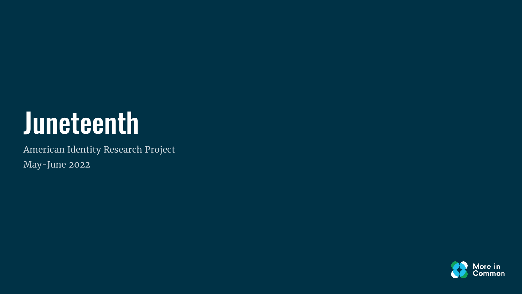### Juneteenth

American Identity Research Project May-June 2022

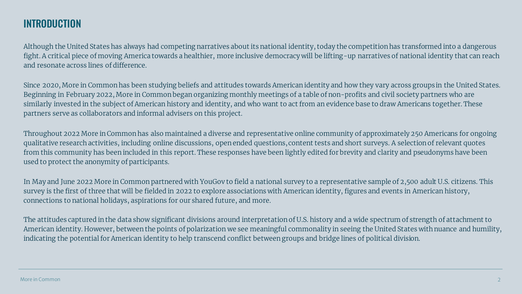#### INTRODUCTION

Although the United States has always had competing narratives about its national identity, today the competition has transformed into a dangerous fight. A critical piece of moving America towards a healthier, more inclusive democracy will be lifting-up narratives of national identity that can reach and resonate across lines of difference.

Since 2020, More in Common has been studying beliefs and attitudes towards American identity and how they vary across groups in the United States. Beginning in February 2022, More in Common began organizing monthly meetings of a table of non-profits and civil society partners who are similarly invested in the subject of American history and identity, and who want to act from an evidence base to draw Americans together. These partners serve as collaborators and informal advisers on this project.

Throughout 2022 More in Common has also maintained a diverse and representative online community of approximately 250 Americans for ongoing qualitative research activities, including online discussions, open ended questions,content tests and short surveys. A selection of relevant quotes from this community has been included in this report. These responses have been lightly edited for brevity and clarity and pseudonyms have been used to protect the anonymity of participants.

In May and June 2022 More in Common partnered with YouGov to field a national survey to a representative sample of 2,500 adult U.S. citizens. This survey is the first of three that will be fielded in 2022 to explore associations with American identity, figures and events in American history, connections to national holidays, aspirations for our shared future, and more.

The attitudes captured in the data show significant divisions around interpretation of U.S. history and a wide spectrum of strength of attachment to American identity. However, between the points of polarization we see meaningful commonality in seeing the United States with nuance and humility, indicating the potential for American identity to help transcend conflict between groups and bridge lines of political division.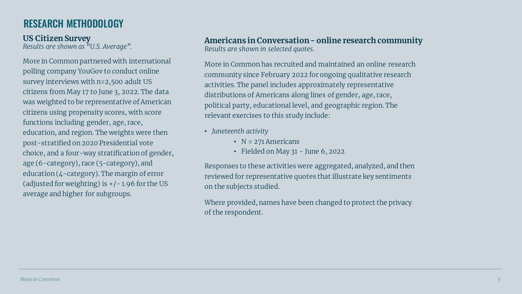#### RESEARCH METHODOLOGY

More in Common partnered with international polling company YouGov to conduct online survey interviews with n=2,500 adult US citizens from May 17 to June 3, 2022. The data was weighted to be representative of American citizens using propensity scores, with score functions including gender, age, race, education, and region. The weights were then post-stratified on 2020 Presidential vote choice, and a four-way stratification of gender, age (6-category), race (5-category), and education (4-category). The margin of error (adjusted for weighting) is  $+/-1.96$  for the US average and higher for subgroups.

**US Citizen Survey Americans in Conversation - online research community** *Results are shown as "U.S. Average". Results are shown in selected quotes.*

> More in Common has recruited and maintained an online research community since February 2022 for ongoing qualitative research activities. The panel includes approximately representative distributions of Americans along lines of gender, age, race, political party, educational level, and geographic region. The relevant exercises to this study include:

- *Juneteenth activity*
	- $N = 271$  Americans
	- Fielded on May 31 June 6, 2022

Responses to these activities were aggregated, analyzed, and then reviewed for representative quotes that illustrate key sentiments on the subjects studied.

Where provided, names have been changed to protect the privacy of the respondent.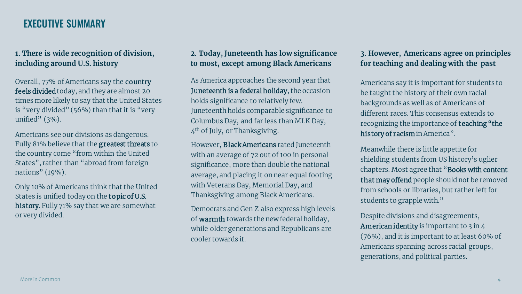#### EXECUTIVE SUMMARY

#### **1. There is wide recognition of division, including around U.S. history**

Overall, 77% of Americans say the country feels divided today, and they are almost 20 times more likely to say that the United States is "very divided" (56%) than that it is "very unified"  $(3\%)$ .

Americans see our divisions as dangerous. Fully 81% believe that the greatest threats to the country come "from within the United States", rather than "abroad from foreign nations" (19%).

Only 10% of Americans think that the United States is unified today on the topic of U.S. history. Fully 71% say that we are somewhat or very divided.

#### **2. Today, Juneteenth has low significance to most, except among Black Americans**

As America approaches the second year that Juneteenth is a federal holiday, the occasion holds significance to relatively few. Juneteenth holds comparable significance to Columbus Day, and far less than MLK Day, 4th of July, or Thanksgiving.

However, Black Americans rated Juneteenth with an average of 72 out of 100 in personal significance, more than double the national average, and placing it on near equal footing with Veterans Day, Memorial Day, and Thanksgiving among Black Americans.

Democrats and Gen Z also express high levels of warmth towards the new federal holiday, while older generations and Republicans are cooler towards it.

#### **3. However, Americans agree on principles for teaching and dealing with the past**

Americans say it is important for students to be taught the history of their own racial backgrounds as well as of Americans of different races. This consensus extends to recognizing the importance of teaching "the history of racism in America".

Meanwhile there is little appetite for shielding students from US history's uglier chapters. Most agree that "Books with content that may offend people should not be removed from schools or libraries, but rather left for students to grapple with."

Despite divisions and disagreements, American identity is important to 3 in 4 (76%), and it is important to at least 60% of Americans spanning across racial groups, generations, and political parties.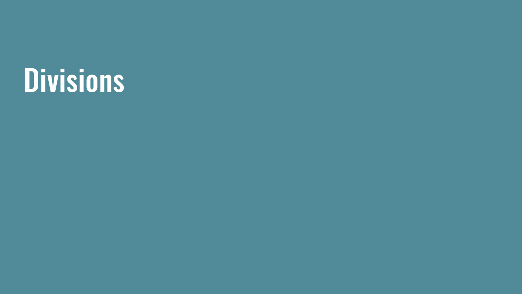### Divisions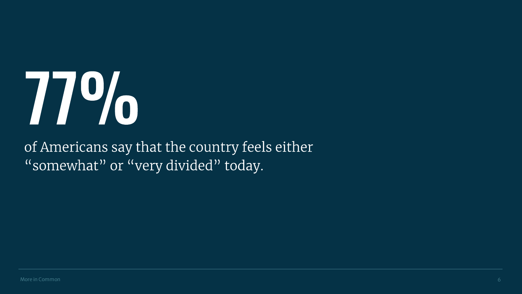## 77%

of Americans say that the country feels either "somewhat" or "very divided" today.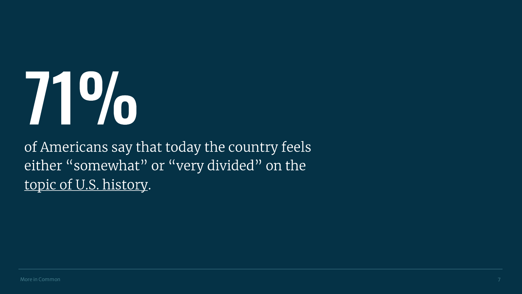# 71%

of Americans say that today the country feels either "somewhat" or "very divided" on the topic of U.S. history.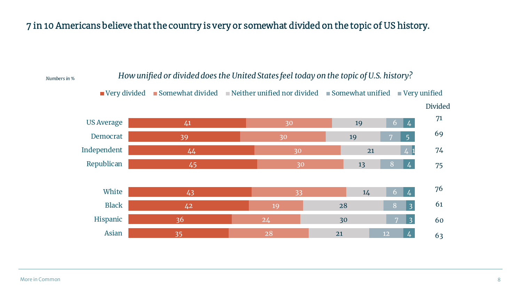#### 7 in 10 Americans believe that the country is very or somewhat divided on the topic of US history.

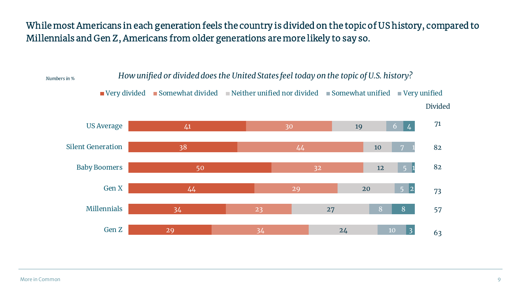While most Americans in each generation feels the country is divided on the topic of US history, compared to Millennials and Gen Z, Americans from older generations are more likely to say so.

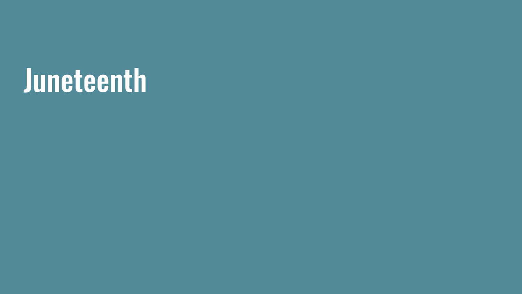### Juneteenth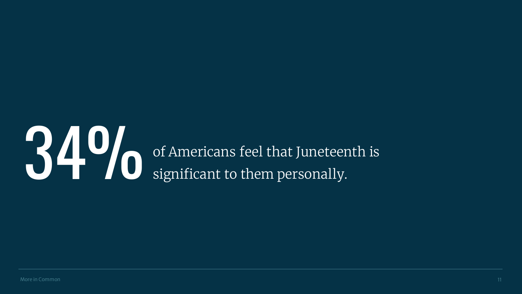### **34 O** of Americans feel that Juneteenth is significant to them personally. significant to them personally.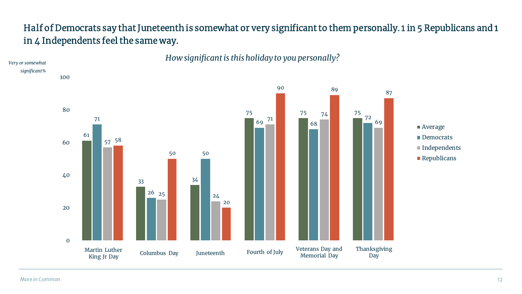#### Half of Democrats say that Juneteenth is somewhat or very significant to them personally. 1 in 5 Republicans and 1 in 4 Independents feel the same way.



More in Common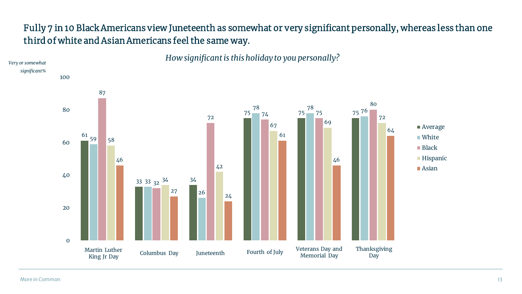#### Fully 7 in 10 Black Americans view Juneteenth as somewhat or very significant personally, whereas less than one third of white and Asian Americans feel the same way.



*How significant is this holiday to you personally?*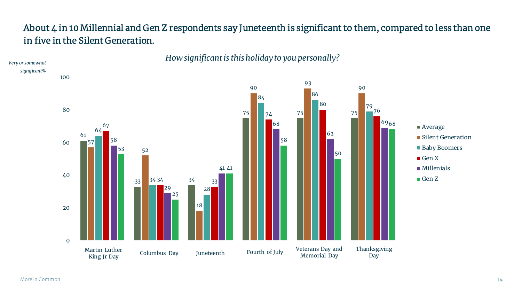#### About 4 in 10 Millennial and Gen Z respondents say Juneteenth is significant to them, compared to less than one in five in the Silent Generation.

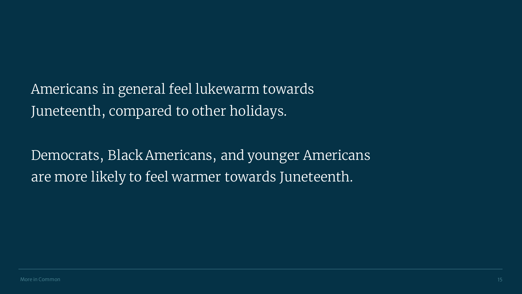Americans in general feel lukewarm towards Juneteenth, compared to other holidays.

Democrats, Black Americans, and younger Americans are more likely to feel warmer towards Juneteenth.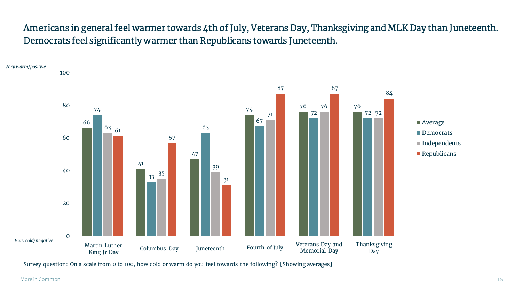#### Americans in general feel warmer towards 4th of July, Veterans Day, Thanksgiving and MLK Day than Juneteenth. Democrats feel significantly warmer than Republicans towards Juneteenth.



More in Common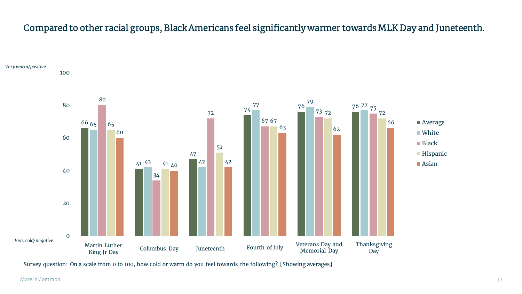#### Compared to other racial groups, Black Americans feel significantly warmer towards MLK Day and Juneteenth.



Survey question: On a scale from 0 to 100, how cold or warm do you feel towards the following? [Showing averages]

*Very warm/positive*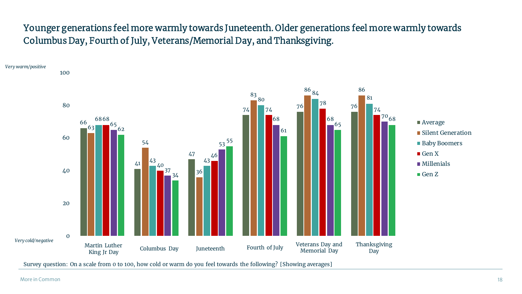#### Younger generations feel more warmly towards Juneteenth. Older generations feel more warmly towards Columbus Day, Fourth of July, Veterans/Memorial Day, and Thanksgiving.



Survey question: On a scale from 0 to 100, how cold or warm do you feel towards the following? [Showing averages]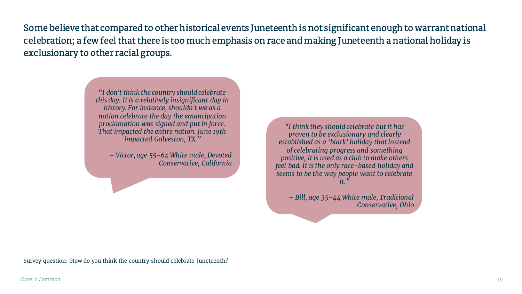Some believe that compared to other historical events Juneteenth is not significant enough to warrant national celebration; a few feel that there is too much emphasis on race and making Juneteenth a national holiday is exclusionary to other racial groups.

> *"I don't think the country should celebrate this day. It is a relatively insignificant day in history. For instance, shouldn't we as a nation celebrate the day the emancipation proclamation was signed and put in force. That impacted the entire nation. June 19th impacted Galveston, TX."*

*– Victor, age 55-64 White male, Devoted Conservative, California*

*"I think they should celebrate but it has proven to be exclusionary and clearly established as a 'black' holiday that instead of celebrating progress and something positive, it is used as a club to make others feel bad. It is the only race-based holiday and seems to be the way people want to celebrate it."*

*– Bill, age 35-44 White male, Traditional Conservative, Ohio*

Survey question: How do you think the country should celebrate Juneteenth?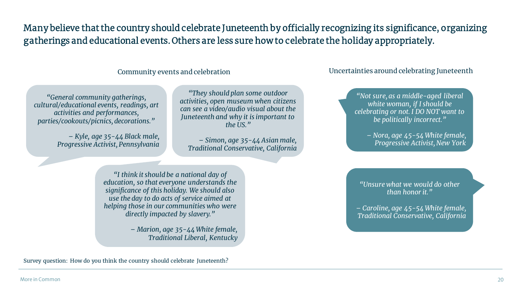Many believe that the country should celebrate Juneteenth by officially recognizing its significance, organizing gatherings and educational events. Others are less sure how to celebrate the holiday appropriately.

#### Community events and celebration

Uncertainties around celebrating Juneteenth

*"General community gatherings, cultural/educational events, readings, art activities and performances, parties/cookouts/picnics, decorations."*

> *– Kyle, age 35-44 Black male, Progressive Activist, Pennsylvania*

*"They should plan some outdoor activities, open museum when citizens can see a video/audio visual about the Juneteenth and why it is important to the US."*

*– Simon, age 35-44 Asian male, Traditional Conservative, California*

*"Not sure, as a middle-aged liberal white woman, if I should be celebrating or not. I DO NOT want to be politically incorrect."*

> *– Nora, age 45-54 White female, Progressive Activist, New York*

*"I think it should be a national day of education, so that everyone understands the significance of this holiday. We should also use the day to do acts of service aimed at helping those in our communities who were directly impacted by slavery."*

> *– Marion, age 35-44 White female, Traditional Liberal, Kentucky*

Survey question: How do you think the country should celebrate Juneteenth?

*"Unsure what we would do other than honor it."*

*– Caroline, age 45-54 White female, Traditional Conservative, California*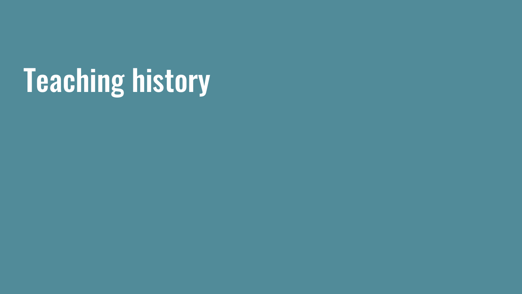## Teaching history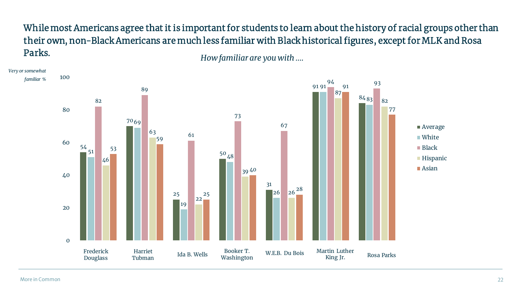While most Americans agree that it is important for students to learn about the history of racial groups other than their own, non-Black Americans are much less familiar with Black historical figures, except for MLK and Rosa Parks. *How familiar are you with ….*

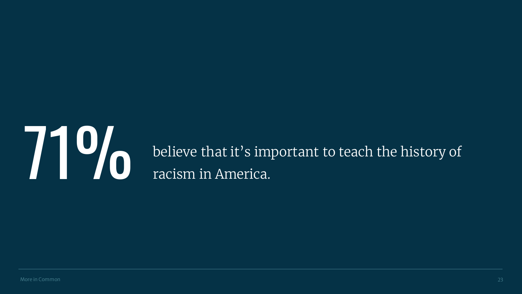

**71 Mark of the Upper State of the filter of the control of the filter of the history of racism in America.** racism in America.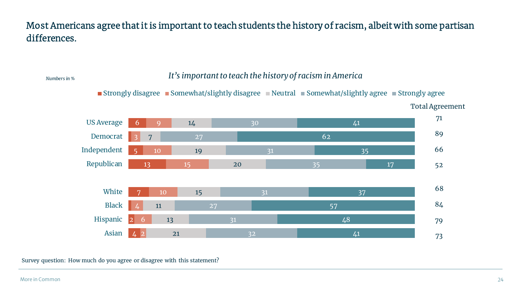#### Most Americans agree that it is important to teach students the history of racism, albeit with some partisan differences.

*Numbers in % It's important to teach the history of racism in America*



Survey question: How much do you agree or disagree with this statement?

More in Common 24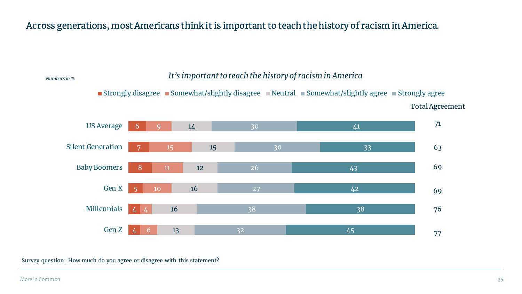#### Across generations, most Americans think it is important to teach the history of racism in America.

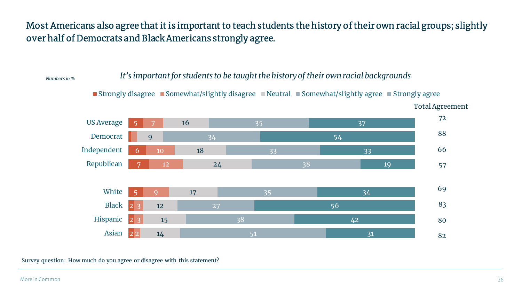#### Most Americans also agree that it is important to teach students the history of their own racial groups; slightly over half of Democrats and Black Americans strongly agree.

*It's important for students to be taught the history of their own racial backgrounds Numbers in %*

■ Strongly disagree ■ Somewhat/slightly disagree ■ Neutral ■ Somewhat/slightly agree ■ Strongly agree

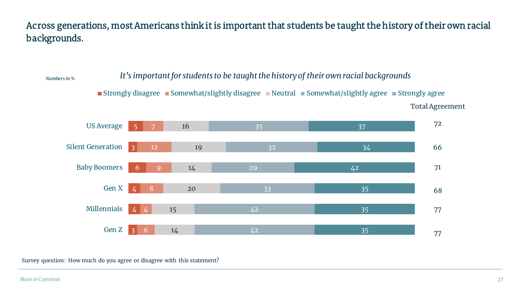Across generations, most Americans think it is important that students be taught the history of their own racial backgrounds.



Survey question: How much do you agree or disagree with this statement?

More in Common 27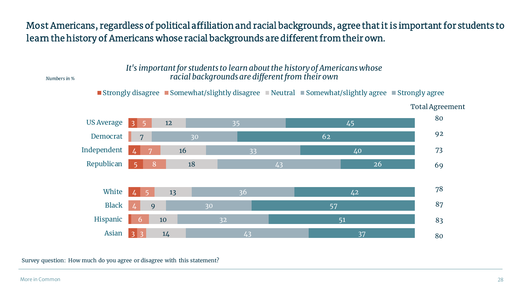#### Most Americans, regardless of political affiliation and racial backgrounds, agree that it is important for students to learn the history of Americans whose racial backgrounds are different from their own.

*It's important for students to learn about the history of Americans whose Numbers in % racial backgrounds are different from their own*

Strongly disagree Somewhat/slightly disagree Neutral Somewhat/slightly agree Strongly agree



Total Agreement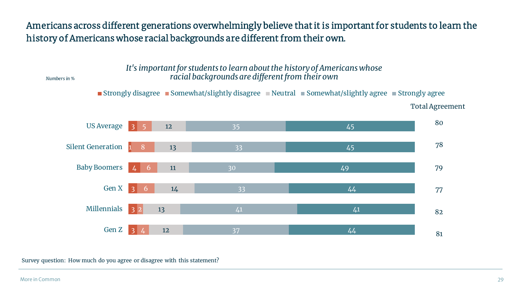#### Americans across different generations overwhelmingly believe that it is important for students to learn the history of Americans whose racial backgrounds are different from their own.

*It's important for students to learn about the history of Americans whose racial backgrounds are different from their own*

*Numbers in %*

Strongly disagree Somewhat/slightly disagree Neutral Somewhat/slightly agree Strongly agree Total Agreement

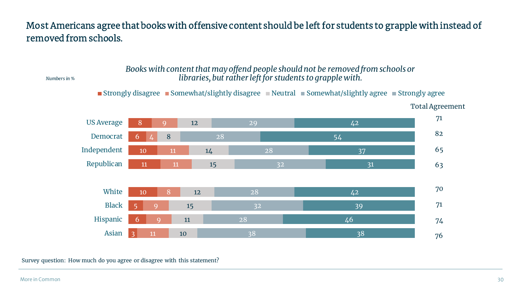#### Most Americans agree that books with offensive content should be left for students to grapple with instead of removed from schools.

#### *Books with content that may offend people should not be removed from schools or Numbers in % libraries, but rather left for students to grapple with.*

Strongly disagree Somewhat/slightly disagree Neutral Somewhat/slightly agree Strongly agree



Total Agreement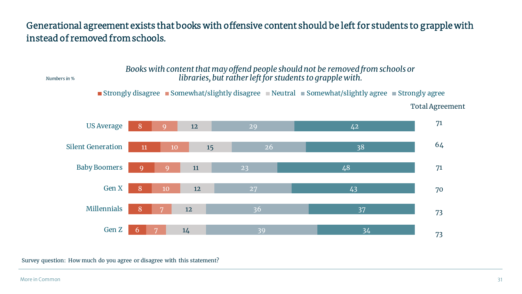#### Generational agreement exists that books with offensive content should be left for students to grapple with instead of removed from schools.

  $\overline{Q}$   $\Omega$   $\overline{O}$  Gen Z Millennials Gen X Baby Boomers Silent Generation US Average Strongly disagree Somewhat/slightly disagree Neutral Somewhat/slightly agree Strongly agree *Numbers in % Books with content that may offend people should not be removed from schools or libraries, but rather left for students to grapple with.*

Total Agreement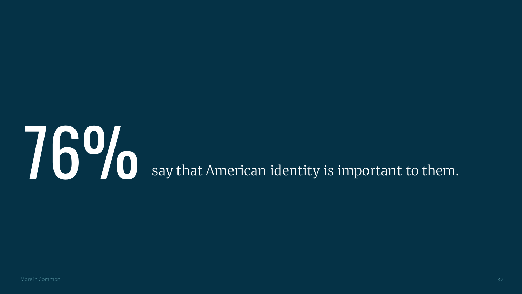## **760 Say that American identity is important to them.**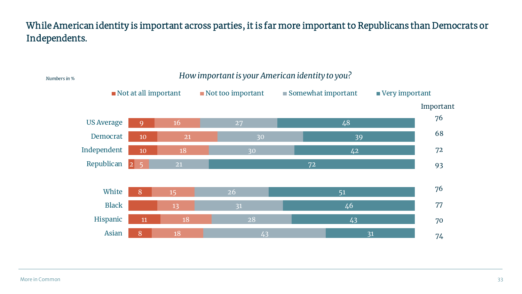#### While American identity is important across parties, it is far more important to Republicans than Democrats or Independents.

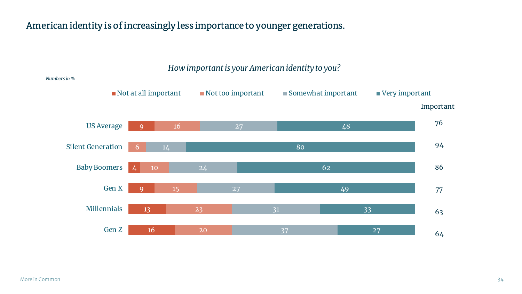#### American identity is of increasingly less importance to younger generations.



*How important is your American identity to you?*

#### *Numbers in %*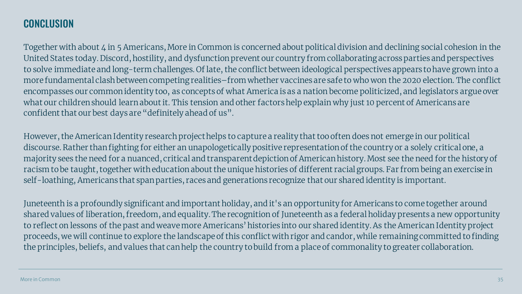### **CONCLUSION**

Together with about 4 in 5 Americans, More in Common is concerned about political division and declining social cohesion in the United States today. Discord, hostility, and dysfunction prevent our country from collaborating across parties and perspectives to solve immediate and long-term challenges. Of late, the conflict between ideological perspectives appears to have grown into a more fundamental clash between competing realities–from whether vaccines are safe to who won the 2020 election. The conflict encompasses our common identity too, as concepts of what America is as a nation become politicized, and legislators argue over what our children should learn about it. This tension and other factors help explain why just 10 percent of Americans are confident that our best days are "definitely ahead of us".

However, the American Identity research project helps to capture a reality that too often does not emerge in our political discourse. Rather than fighting for either an unapologetically positive representation of the country or a solely critical one, a majority sees the need for a nuanced, critical and transparent depiction of American history. Most see the need for the history of racism to be taught, together with education about the unique histories of different racial groups. Far from being an exercise in self-loathing, Americans that span parties, races and generations recognize that our shared identity is important.

Juneteenth is a profoundly significant and important holiday, and it's an opportunity for Americans to come together around shared values of liberation, freedom, and equality.The recognition of Juneteenth as a federal holiday presents a new opportunity to reflect on lessons of the past and weave more Americans' histories into our shared identity. As the American Identity project proceeds, we will continue to explore the landscape of this conflict with rigor and candor, while remaining committed to finding the principles, beliefs, and values that can help the country to build from a place of commonality to greater collaboration.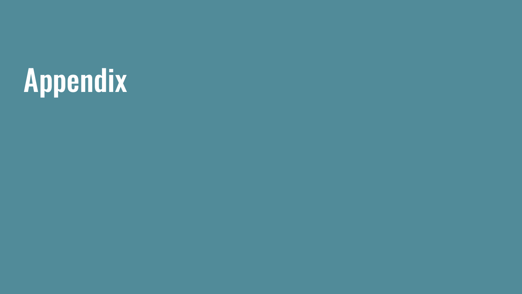## Appendix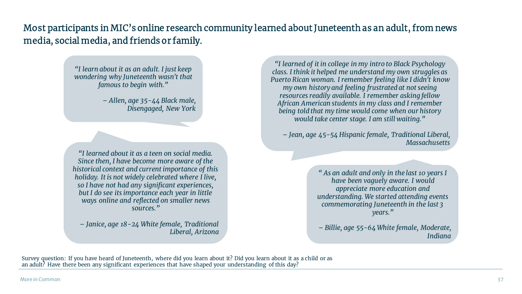Most participants in MIC's online research community learned about Juneteenth as an adult, from news media, social media, and friends or family.

> *"I learn about it as an adult. I just keep wondering why Juneteenth wasn't that famous to begin with."*

> > *– Allen, age 35-44 Black male, Disengaged, New York*

*"I learned about it as a teen on social media. Since then, I have become more aware of the historical context and current importance of this holiday. It is not widely celebrated where I live, so I have not had any significant experiences, but I do see its importance each year in little ways online and reflected on smaller news sources."*

*– Janice, age 18-24 White female, Traditional Liberal, Arizona*

*"I learned of it in college in my intro to Black Psychology class. I think it helped me understand my own struggles as Puerto Rican woman. I remember feeling like I didn't know my own history and feeling frustrated at not seeing resources readily available. I remember asking fellow African American students in my class and I remember being told that my time would come when our history would take center stage. I am still waiting."*

*– Jean, age 45-54 Hispanic female, Traditional Liberal, Massachusetts*

> *" As an adult and only in the last 10 years I have been vaguely aware. I would appreciate more education and understanding. We started attending events commemorating Juneteenth in the last 3 years."*

*– Billie, age 55-64 White female, Moderate, Indiana*

Survey question: If you have heard of Juneteenth, where did you learn about it? Did you learn about it as a child or as an adult? Have there been any significant experiences that have shaped your understanding of this day?